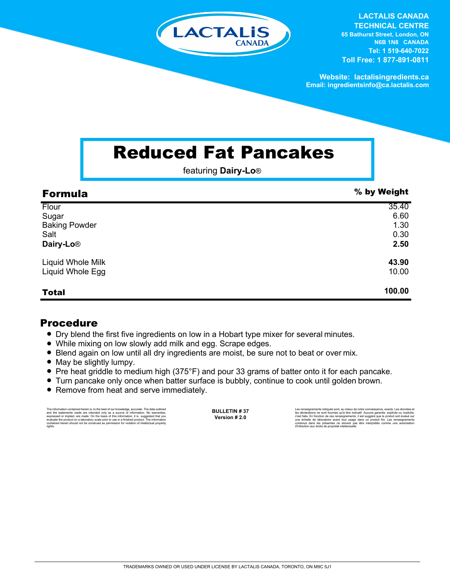

**LACTALIS CANADA TECHNICAL CENTRE 65 Bathurst Street, London, ON N6B 1N8 CANADA Tel: 1 519-640-7022 Toll Free: 1 877-891-0811**

**Website: lactalisingredients.ca Email: ingredientsinfo@ca.lactalis.com**

## Reduced Fat Pancakes

featuring **Dairy-Lo**®

| <b>Formula</b>        | % by Weight |
|-----------------------|-------------|
| Flour                 | 35.40       |
| Sugar                 | 6.60        |
| <b>Baking Powder</b>  | 1.30        |
| Salt                  | 0.30        |
| Dairy-Lo <sup>®</sup> | 2.50        |
| Liquid Whole Milk     | 43.90       |
| Liquid Whole Egg      | 10.00       |
| <b>Total</b>          | 100.00      |

## Procedure

- Dry blend the first five ingredients on low in a Hobart type mixer for several minutes.
- While mixing on low slowly add milk and egg. Scrape edges.
- = Blend again on low until all dry ingredients are moist, be sure not to beat or over mix.
- May be slightly lumpy.
- Pre heat griddle to medium high (375°F) and pour 33 grams of batter onto it for each pancake.
- = Turn pancake only once when batter surface is bubbly, continue to cook until golden brown.
- Remove from heat and serve immediately.

The information contained herein is, to the best of our knowledge, accurate. The data cutlined the statements made are intended only as a source of information. No warranties, expressed or implied, are made. On the basis o

**BULLETIN # 37 Version # 2.0**

Les renseignements indiqués sont, au mieux de notre connaissance, exacts. Les données et<br>les déclarations ne sont fournies qu'à titre indicatif. Aucune garantie, explicite ou implicite,<br>riest faite. En fonction de ces rens